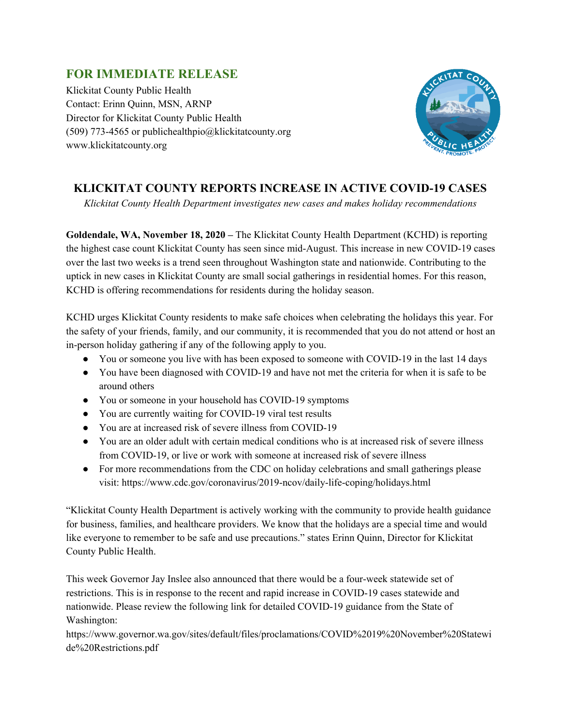## **FOR IMMEDIATE RELEASE**

Klickitat County Public Health Contact: Erinn Quinn, MSN, ARNP Director for Klickitat County Public Health (509) 773-4565 or publichealthpio@klickitatcounty.org www.klickitatcounty.org



## **KLICKITAT COUNTY REPORTS INCREASE IN ACTIVE COVID-19 CASES**

*Klickitat County Health Department investigates new cases and makes holiday recommendations*

**Goldendale, WA, November 18, 2020 –** The Klickitat County Health Department (KCHD) is reporting the highest case count Klickitat County has seen since mid-August. This increase in new COVID-19 cases over the last two weeks is a trend seen throughout Washington state and nationwide. Contributing to the uptick in new cases in Klickitat County are small social gatherings in residential homes. For this reason, KCHD is offering recommendations for residents during the holiday season.

KCHD urges Klickitat County residents to make safe choices when celebrating the holidays this year. For the safety of your friends, family, and our community, it is recommended that you do not attend or host an in-person holiday gathering if any of the following apply to you.

- You or someone you live with has been exposed to someone with COVID-19 in the last 14 days
- You have been diagnosed with COVID-19 and have not met the criteria for when it is safe to be around others
- You or someone in your household has COVID-19 symptoms
- You are currently waiting for COVID-19 viral test results
- You are at increased risk of severe illness from COVID-19
- You are an older adult with certain medical conditions who is at increased risk of severe illness from COVID-19, or live or work with someone at increased risk of severe illness
- For more recommendations from the CDC on holiday celebrations and small gatherings please visit: https://www.cdc.gov/coronavirus/2019-ncov/daily-life-coping/holidays.html

"Klickitat County Health Department is actively working with the community to provide health guidance for business, families, and healthcare providers. We know that the holidays are a special time and would like everyone to remember to be safe and use precautions." states Erinn Quinn, Director for Klickitat County Public Health.

This week Governor Jay Inslee also announced that there would be a four-week statewide set of restrictions. This is in response to the recent and rapid increase in COVID-19 cases statewide and nationwide. Please review the following link for detailed COVID-19 guidance from the State of Washington:

https://www.governor.wa.gov/sites/default/files/proclamations/COVID%2019%20November%20Statewi de%20Restrictions.pdf